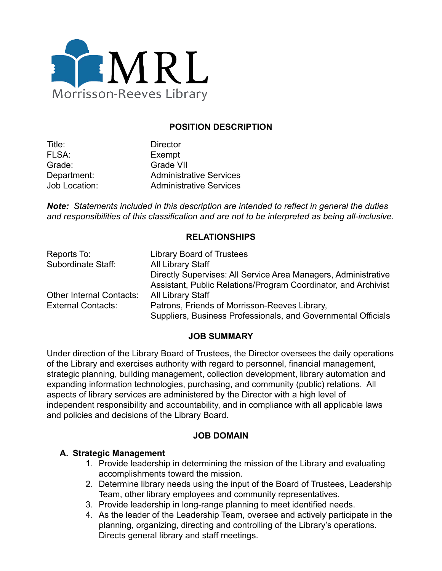

### **POSITION DESCRIPTION**

| Title:               | <b>Director</b>                |
|----------------------|--------------------------------|
| FLSA:                | Exempt                         |
| Grade:               | <b>Grade VII</b>               |
| Department:          | <b>Administrative Services</b> |
| <b>Job Location:</b> | <b>Administrative Services</b> |

*Note: Statements included in this description are intended to reflect in general the duties and responsibilities of this classification and are not to be interpreted as being all-inclusive.*

### **RELATIONSHIPS**

| Reports To:                     | <b>Library Board of Trustees</b>                               |
|---------------------------------|----------------------------------------------------------------|
| Subordinate Staff:              | <b>All Library Staff</b>                                       |
|                                 | Directly Supervises: All Service Area Managers, Administrative |
|                                 | Assistant, Public Relations/Program Coordinator, and Archivist |
| <b>Other Internal Contacts:</b> | <b>All Library Staff</b>                                       |
| <b>External Contacts:</b>       | Patrons, Friends of Morrisson-Reeves Library,                  |
|                                 | Suppliers, Business Professionals, and Governmental Officials  |

#### **JOB SUMMARY**

Under direction of the Library Board of Trustees, the Director oversees the daily operations of the Library and exercises authority with regard to personnel, financial management, strategic planning, building management, collection development, library automation and expanding information technologies, purchasing, and community (public) relations. All aspects of library services are administered by the Director with a high level of independent responsibility and accountability, and in compliance with all applicable laws and policies and decisions of the Library Board.

#### **JOB DOMAIN**

#### **A. Strategic Management**

- 1. Provide leadership in determining the mission of the Library and evaluating accomplishments toward the mission.
- 2. Determine library needs using the input of the Board of Trustees, Leadership Team, other library employees and community representatives.
- 3. Provide leadership in long-range planning to meet identified needs.
- 4. As the leader of the Leadership Team, oversee and actively participate in the planning, organizing, directing and controlling of the Library's operations. Directs general library and staff meetings.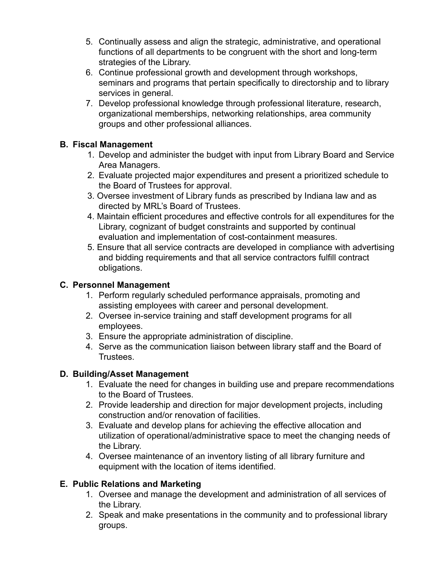- 5. Continually assess and align the strategic, administrative, and operational functions of all departments to be congruent with the short and long-term strategies of the Library.
- 6. Continue professional growth and development through workshops, seminars and programs that pertain specifically to directorship and to library services in general.
- 7. Develop professional knowledge through professional literature, research, organizational memberships, networking relationships, area community groups and other professional alliances.

## **B. Fiscal Management**

- 1. Develop and administer the budget with input from Library Board and Service Area Managers.
- 2. Evaluate projected major expenditures and present a prioritized schedule to the Board of Trustees for approval.
- 3. Oversee investment of Library funds as prescribed by Indiana law and as directed by MRL's Board of Trustees.
- 4. Maintain efficient procedures and effective controls for all expenditures for the Library, cognizant of budget constraints and supported by continual evaluation and implementation of cost-containment measures.
- 5. Ensure that all service contracts are developed in compliance with advertising and bidding requirements and that all service contractors fulfill contract obligations.

# **C. Personnel Management**

- 1. Perform regularly scheduled performance appraisals, promoting and assisting employees with career and personal development.
- 2. Oversee in-service training and staff development programs for all employees.
- 3. Ensure the appropriate administration of discipline.
- 4. Serve as the communication liaison between library staff and the Board of Trustees.

## **D. Building/Asset Management**

- 1. Evaluate the need for changes in building use and prepare recommendations to the Board of Trustees.
- 2. Provide leadership and direction for major development projects, including construction and/or renovation of facilities.
- 3. Evaluate and develop plans for achieving the effective allocation and utilization of operational/administrative space to meet the changing needs of the Library.
- 4. Oversee maintenance of an inventory listing of all library furniture and equipment with the location of items identified.

# **E. Public Relations and Marketing**

- 1. Oversee and manage the development and administration of all services of the Library.
- 2. Speak and make presentations in the community and to professional library groups.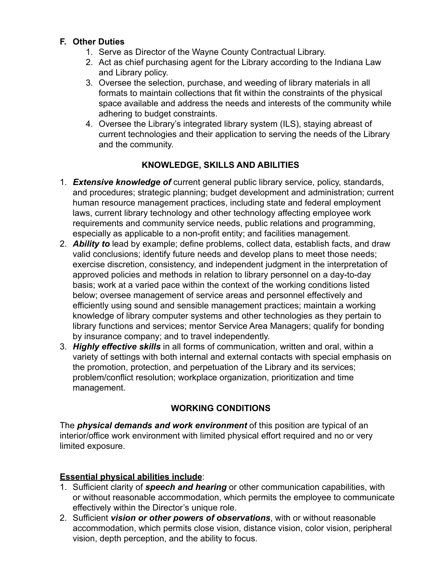### **F. Other Duties**

- 1. Serve as Director of the Wayne County Contractual Library.
- 2. Act as chief purchasing agent for the Library according to the Indiana Law and Library policy.
- 3. Oversee the selection, purchase, and weeding of library materials in all formats to maintain collections that fit within the constraints of the physical space available and address the needs and interests of the community while adhering to budget constraints.
- 4. Oversee the Library's integrated library system (ILS), staying abreast of current technologies and their application to serving the needs of the Library and the community.

## **KNOWLEDGE, SKILLS AND ABILITIES**

- 1. *Extensive knowledge of* current general public library service, policy, standards, and procedures; strategic planning; budget development and administration; current human resource management practices, including state and federal employment laws, current library technology and other technology affecting employee work requirements and community service needs, public relations and programming, especially as applicable to a non-profit entity; and facilities management.
- 2. *Ability to* lead by example; define problems, collect data, establish facts, and draw valid conclusions; identify future needs and develop plans to meet those needs; exercise discretion, consistency, and independent judgment in the interpretation of approved policies and methods in relation to library personnel on a day-to-day basis; work at a varied pace within the context of the working conditions listed below; oversee management of service areas and personnel effectively and efficiently using sound and sensible management practices; maintain a working knowledge of library computer systems and other technologies as they pertain to library functions and services; mentor Service Area Managers; qualify for bonding by insurance company; and to travel independently.
- 3. *Highly effective skills* in all forms of communication, written and oral, within a variety of settings with both internal and external contacts with special emphasis on the promotion, protection, and perpetuation of the Library and its services; problem/conflict resolution; workplace organization, prioritization and time management.

### **WORKING CONDITIONS**

The *physical demands and work environment* of this position are typical of an interior/office work environment with limited physical effort required and no or very limited exposure.

### **Essential physical abilities include**:

- 1. Sufficient clarity of *speech and hearing* or other communication capabilities, with or without reasonable accommodation, which permits the employee to communicate effectively within the Director's unique role.
- 2. Sufficient *vision or other powers of observations*, with or without reasonable accommodation, which permits close vision, distance vision, color vision, peripheral vision, depth perception, and the ability to focus.